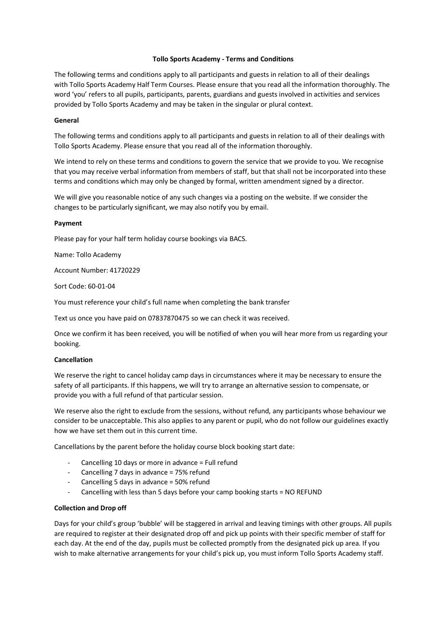## **Tollo Sports Academy - Terms and Conditions**

The following terms and conditions apply to all participants and guests in relation to all of their dealings with Tollo Sports Academy Half Term Courses. Please ensure that you read all the information thoroughly. The word 'you' refers to all pupils, participants, parents, guardians and guests involved in activities and services provided by Tollo Sports Academy and may be taken in the singular or plural context.

## **General**

The following terms and conditions apply to all participants and guests in relation to all of their dealings with Tollo Sports Academy. Please ensure that you read all of the information thoroughly.

We intend to rely on these terms and conditions to govern the service that we provide to you. We recognise that you may receive verbal information from members of staff, but that shall not be incorporated into these terms and conditions which may only be changed by formal, written amendment signed by a director.

We will give you reasonable notice of any such changes via a posting on the website. If we consider the changes to be particularly significant, we may also notify you by email.

#### **Payment**

Please pay for your half term holiday course bookings via BACS.

Name: Tollo Academy

Account Number: 41720229

Sort Code: 60-01-04

You must reference your child's full name when completing the bank transfer

Text us once you have paid on 07837870475 so we can check it was received.

Once we confirm it has been received, you will be notified of when you will hear more from us regarding your booking.

#### **Cancellation**

We reserve the right to cancel holiday camp days in circumstances where it may be necessary to ensure the safety of all participants. If this happens, we will try to arrange an alternative session to compensate, or provide you with a full refund of that particular session.

We reserve also the right to exclude from the sessions, without refund, any participants whose behaviour we consider to be unacceptable. This also applies to any parent or pupil, who do not follow our guidelines exactly how we have set them out in this current time.

Cancellations by the parent before the holiday course block booking start date:

- Cancelling 10 days or more in advance = Full refund
- Cancelling 7 days in advance = 75% refund
- Cancelling 5 days in advance = 50% refund
- Cancelling with less than 5 days before your camp booking starts = NO REFUND

## **Collection and Drop off**

Days for your child's group 'bubble' will be staggered in arrival and leaving timings with other groups. All pupils are required to register at their designated drop off and pick up points with their specific member of staff for each day. At the end of the day, pupils must be collected promptly from the designated pick up area. If you wish to make alternative arrangements for your child's pick up, you must inform Tollo Sports Academy staff.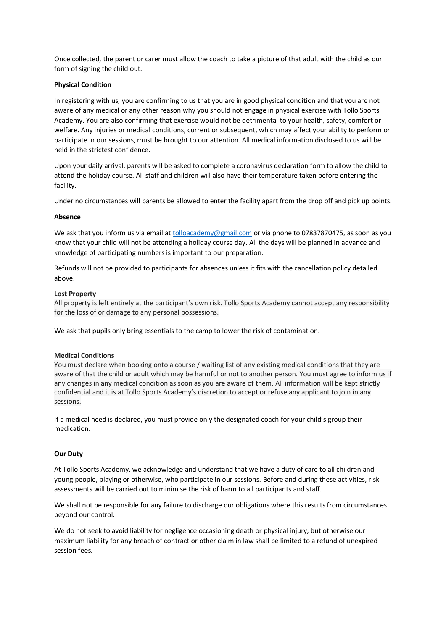Once collected, the parent or carer must allow the coach to take a picture of that adult with the child as our form of signing the child out.

### **Physical Condition**

In registering with us, you are confirming to us that you are in good physical condition and that you are not aware of any medical or any other reason why you should not engage in physical exercise with Tollo Sports Academy. You are also confirming that exercise would not be detrimental to your health, safety, comfort or welfare. Any injuries or medical conditions, current or subsequent, which may affect your ability to perform or participate in our sessions, must be brought to our attention. All medical information disclosed to us will be held in the strictest confidence.

Upon your daily arrival, parents will be asked to complete a coronavirus declaration form to allow the child to attend the holiday course. All staff and children will also have their temperature taken before entering the facility.

Under no circumstances will parents be allowed to enter the facility apart from the drop off and pick up points.

#### **Absence**

We ask that you inform us via email at tolloacademy@gmail.com or via phone to 07837870475, as soon as you know that your child will not be attending a holiday course day. All the days will be planned in advance and knowledge of participating numbers is important to our preparation.

Refunds will not be provided to participants for absences unless it fits with the cancellation policy detailed above.

#### **Lost Property**

All property is left entirely at the participant's own risk. Tollo Sports Academy cannot accept any responsibility for the loss of or damage to any personal possessions.

We ask that pupils only bring essentials to the camp to lower the risk of contamination.

#### **Medical Conditions**

You must declare when booking onto a course / waiting list of any existing medical conditions that they are aware of that the child or adult which may be harmful or not to another person. You must agree to inform us if any changes in any medical condition as soon as you are aware of them. All information will be kept strictly confidential and it is at Tollo Sports Academy's discretion to accept or refuse any applicant to join in any sessions.

If a medical need is declared, you must provide only the designated coach for your child's group their medication.

## **Our Duty**

At Tollo Sports Academy, we acknowledge and understand that we have a duty of care to all children and young people, playing or otherwise, who participate in our sessions. Before and during these activities, risk assessments will be carried out to minimise the risk of harm to all participants and staff.

We shall not be responsible for any failure to discharge our obligations where this results from circumstances beyond our control.

We do not seek to avoid liability for negligence occasioning death or physical injury, but otherwise our maximum liability for any breach of contract or other claim in law shall be limited to a refund of unexpired session fees.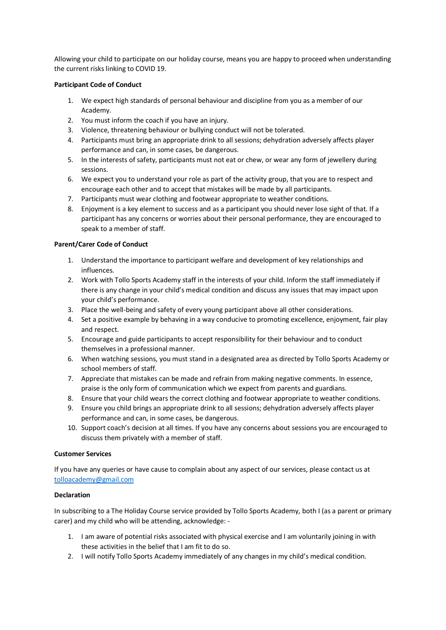Allowing your child to participate on our holiday course, means you are happy to proceed when understanding the current risks linking to COVID 19.

## **Participant Code of Conduct**

- 1. We expect high standards of personal behaviour and discipline from you as a member of our Academy.
- 2. You must inform the coach if you have an injury.
- 3. Violence, threatening behaviour or bullying conduct will not be tolerated.
- 4. Participants must bring an appropriate drink to all sessions; dehydration adversely affects player performance and can, in some cases, be dangerous.
- 5. In the interests of safety, participants must not eat or chew, or wear any form of jewellery during sessions.
- 6. We expect you to understand your role as part of the activity group, that you are to respect and encourage each other and to accept that mistakes will be made by all participants.
- 7. Participants must wear clothing and footwear appropriate to weather conditions.
- 8. Enjoyment is a key element to success and as a participant you should never lose sight of that. If a participant has any concerns or worries about their personal performance, they are encouraged to speak to a member of staff.

## **Parent/Carer Code of Conduct**

- 1. Understand the importance to participant welfare and development of key relationships and influences.
- 2. Work with Tollo Sports Academy staff in the interests of your child. Inform the staff immediately if there is any change in your child's medical condition and discuss any issues that may impact upon your child's performance.
- 3. Place the well-being and safety of every young participant above all other considerations.
- 4. Set a positive example by behaving in a way conducive to promoting excellence, enjoyment, fair play and respect.
- 5. Encourage and guide participants to accept responsibility for their behaviour and to conduct themselves in a professional manner.
- 6. When watching sessions, you must stand in a designated area as directed by Tollo Sports Academy or school members of staff.
- 7. Appreciate that mistakes can be made and refrain from making negative comments. In essence, praise is the only form of communication which we expect from parents and guardians.
- 8. Ensure that your child wears the correct clothing and footwear appropriate to weather conditions.
- 9. Ensure you child brings an appropriate drink to all sessions; dehydration adversely affects player performance and can, in some cases, be dangerous.
- 10. Support coach's decision at all times. If you have any concerns about sessions you are encouraged to discuss them privately with a member of staff.

# **Customer Services**

If you have any queries or have cause to complain about any aspect of our services, please contact us at tolloacademy@gmail.com

## **Declaration**

In subscribing to a The Holiday Course service provided by Tollo Sports Academy, both I (as a parent or primary carer) and my child who will be attending, acknowledge: -

- 1. I am aware of potential risks associated with physical exercise and I am voluntarily joining in with these activities in the belief that I am fit to do so.
- 2. I will notify Tollo Sports Academy immediately of any changes in my child's medical condition.